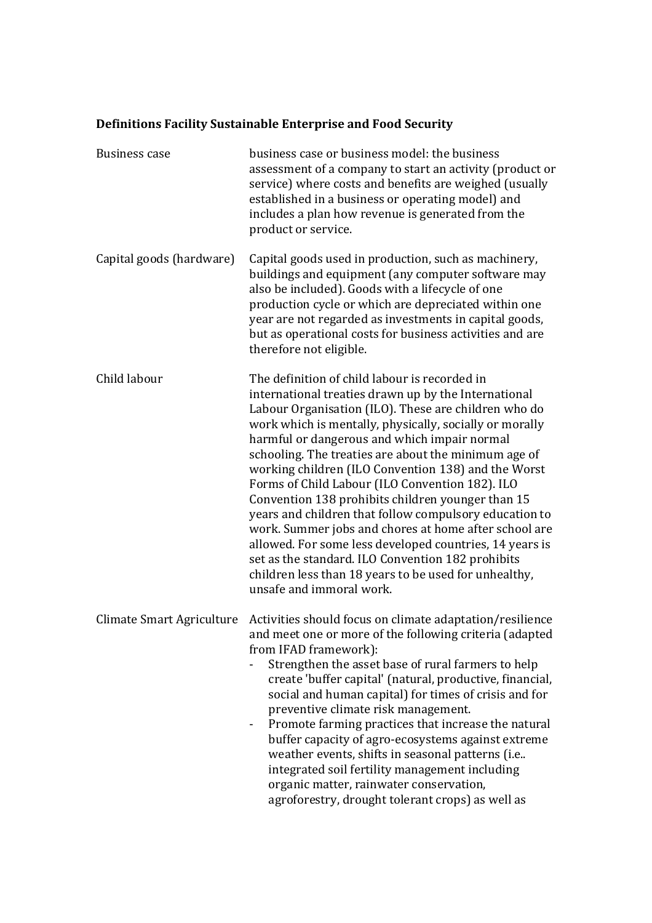## **Definitions Facility Sustainable Enterprise and Food Security**

| <b>Business case</b>      | business case or business model: the business<br>assessment of a company to start an activity (product or<br>service) where costs and benefits are weighed (usually<br>established in a business or operating model) and<br>includes a plan how revenue is generated from the<br>product or service.                                                                                                                                                                                                                                                                                                                                                                                                                                                                                                                    |
|---------------------------|-------------------------------------------------------------------------------------------------------------------------------------------------------------------------------------------------------------------------------------------------------------------------------------------------------------------------------------------------------------------------------------------------------------------------------------------------------------------------------------------------------------------------------------------------------------------------------------------------------------------------------------------------------------------------------------------------------------------------------------------------------------------------------------------------------------------------|
| Capital goods (hardware)  | Capital goods used in production, such as machinery,<br>buildings and equipment (any computer software may<br>also be included). Goods with a lifecycle of one<br>production cycle or which are depreciated within one<br>year are not regarded as investments in capital goods,<br>but as operational costs for business activities and are<br>therefore not eligible.                                                                                                                                                                                                                                                                                                                                                                                                                                                 |
| Child labour              | The definition of child labour is recorded in<br>international treaties drawn up by the International<br>Labour Organisation (ILO). These are children who do<br>work which is mentally, physically, socially or morally<br>harmful or dangerous and which impair normal<br>schooling. The treaties are about the minimum age of<br>working children (ILO Convention 138) and the Worst<br>Forms of Child Labour (ILO Convention 182). ILO<br>Convention 138 prohibits children younger than 15<br>years and children that follow compulsory education to<br>work. Summer jobs and chores at home after school are<br>allowed. For some less developed countries, 14 years is<br>set as the standard. ILO Convention 182 prohibits<br>children less than 18 years to be used for unhealthy,<br>unsafe and immoral work. |
| Climate Smart Agriculture | Activities should focus on climate adaptation/resilience<br>and meet one or more of the following criteria (adapted<br>from IFAD framework):<br>Strengthen the asset base of rural farmers to help<br>create 'buffer capital' (natural, productive, financial,<br>social and human capital) for times of crisis and for<br>preventive climate risk management.<br>Promote farming practices that increase the natural<br>buffer capacity of agro-ecosystems against extreme<br>weather events, shifts in seasonal patterns (i.e<br>integrated soil fertility management including<br>organic matter, rainwater conservation,<br>agroforestry, drought tolerant crops) as well as                                                                                                                                        |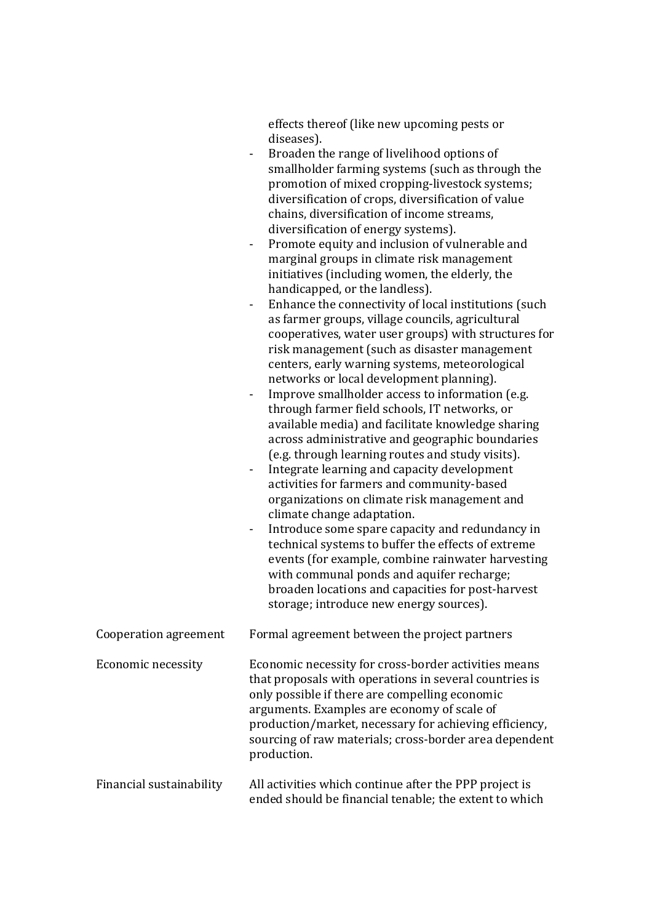|                           | effects thereof (like new upcoming pests or<br>diseases).<br>Broaden the range of livelihood options of<br>$\blacksquare$<br>smallholder farming systems (such as through the<br>promotion of mixed cropping-livestock systems;<br>diversification of crops, diversification of value<br>chains, diversification of income streams,<br>diversification of energy systems).<br>Promote equity and inclusion of vulnerable and<br>$\overline{\phantom{a}}$<br>marginal groups in climate risk management<br>initiatives (including women, the elderly, the<br>handicapped, or the landless).<br>Enhance the connectivity of local institutions (such<br>$\overline{\phantom{a}}$<br>as farmer groups, village councils, agricultural<br>cooperatives, water user groups) with structures for<br>risk management (such as disaster management<br>centers, early warning systems, meteorological<br>networks or local development planning).<br>Improve smallholder access to information (e.g.<br>$\overline{\phantom{a}}$<br>through farmer field schools, IT networks, or<br>available media) and facilitate knowledge sharing<br>across administrative and geographic boundaries<br>(e.g. through learning routes and study visits).<br>Integrate learning and capacity development<br>activities for farmers and community-based<br>organizations on climate risk management and<br>climate change adaptation.<br>Introduce some spare capacity and redundancy in<br>$\blacksquare$<br>technical systems to buffer the effects of extreme<br>events (for example, combine rainwater harvesting<br>with communal ponds and aquifer recharge;<br>broaden locations and capacities for post-harvest<br>storage; introduce new energy sources). |
|---------------------------|----------------------------------------------------------------------------------------------------------------------------------------------------------------------------------------------------------------------------------------------------------------------------------------------------------------------------------------------------------------------------------------------------------------------------------------------------------------------------------------------------------------------------------------------------------------------------------------------------------------------------------------------------------------------------------------------------------------------------------------------------------------------------------------------------------------------------------------------------------------------------------------------------------------------------------------------------------------------------------------------------------------------------------------------------------------------------------------------------------------------------------------------------------------------------------------------------------------------------------------------------------------------------------------------------------------------------------------------------------------------------------------------------------------------------------------------------------------------------------------------------------------------------------------------------------------------------------------------------------------------------------------------------------------------------------------------------------------------------------------------|
| Cooperation agreement     | Formal agreement between the project partners                                                                                                                                                                                                                                                                                                                                                                                                                                                                                                                                                                                                                                                                                                                                                                                                                                                                                                                                                                                                                                                                                                                                                                                                                                                                                                                                                                                                                                                                                                                                                                                                                                                                                                |
| <b>Economic necessity</b> | Economic necessity for cross-border activities means<br>that proposals with operations in several countries is<br>only possible if there are compelling economic<br>arguments. Examples are economy of scale of<br>production/market, necessary for achieving efficiency,<br>sourcing of raw materials; cross-border area dependent<br>production.                                                                                                                                                                                                                                                                                                                                                                                                                                                                                                                                                                                                                                                                                                                                                                                                                                                                                                                                                                                                                                                                                                                                                                                                                                                                                                                                                                                           |
| Financial sustainability  | All activities which continue after the PPP project is<br>ended should be financial tenable; the extent to which                                                                                                                                                                                                                                                                                                                                                                                                                                                                                                                                                                                                                                                                                                                                                                                                                                                                                                                                                                                                                                                                                                                                                                                                                                                                                                                                                                                                                                                                                                                                                                                                                             |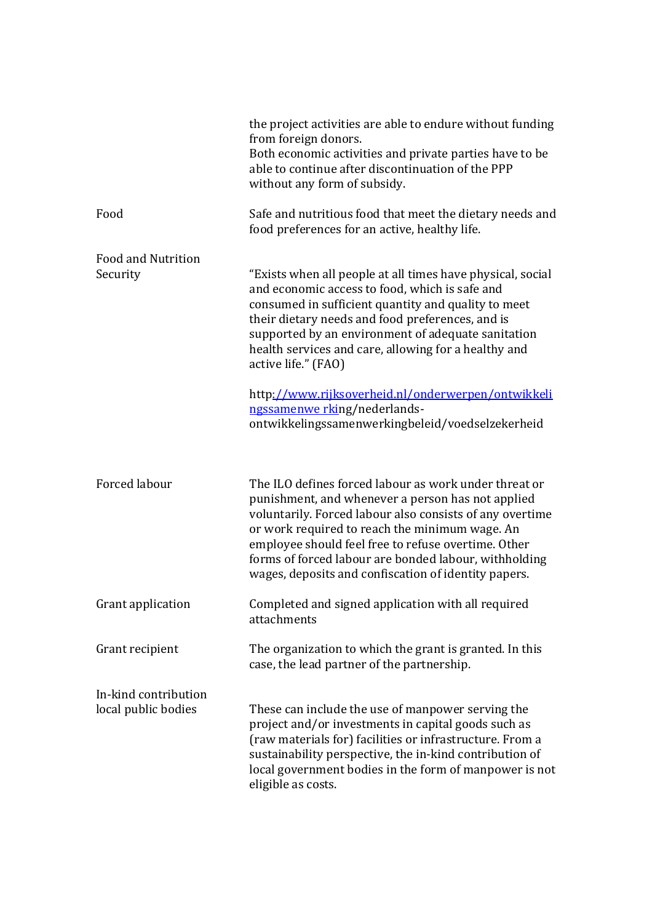|                                             | the project activities are able to endure without funding<br>from foreign donors.<br>Both economic activities and private parties have to be<br>able to continue after discontinuation of the PPP<br>without any form of subsidy.                                                                                                                                                                |
|---------------------------------------------|--------------------------------------------------------------------------------------------------------------------------------------------------------------------------------------------------------------------------------------------------------------------------------------------------------------------------------------------------------------------------------------------------|
| Food                                        | Safe and nutritious food that meet the dietary needs and<br>food preferences for an active, healthy life.                                                                                                                                                                                                                                                                                        |
| <b>Food and Nutrition</b><br>Security       | "Exists when all people at all times have physical, social<br>and economic access to food, which is safe and<br>consumed in sufficient quantity and quality to meet<br>their dietary needs and food preferences, and is<br>supported by an environment of adequate sanitation<br>health services and care, allowing for a healthy and<br>active life." (FAO)                                     |
|                                             | http://www.rijksoverheid.nl/onderwerpen/ontwikkeli<br>ngssamenwe rking/nederlands-<br>ontwikkelingssamenwerkingbeleid/voedselzekerheid                                                                                                                                                                                                                                                           |
| Forced labour                               | The ILO defines forced labour as work under threat or<br>punishment, and whenever a person has not applied<br>voluntarily. Forced labour also consists of any overtime<br>or work required to reach the minimum wage. An<br>employee should feel free to refuse overtime. Other<br>forms of forced labour are bonded labour, withholding<br>wages, deposits and confiscation of identity papers. |
| Grant application                           | Completed and signed application with all required<br>attachments                                                                                                                                                                                                                                                                                                                                |
| Grant recipient                             | The organization to which the grant is granted. In this<br>case, the lead partner of the partnership.                                                                                                                                                                                                                                                                                            |
| In-kind contribution<br>local public bodies | These can include the use of manpower serving the<br>project and/or investments in capital goods such as<br>(raw materials for) facilities or infrastructure. From a<br>sustainability perspective, the in-kind contribution of<br>local government bodies in the form of manpower is not<br>eligible as costs.                                                                                  |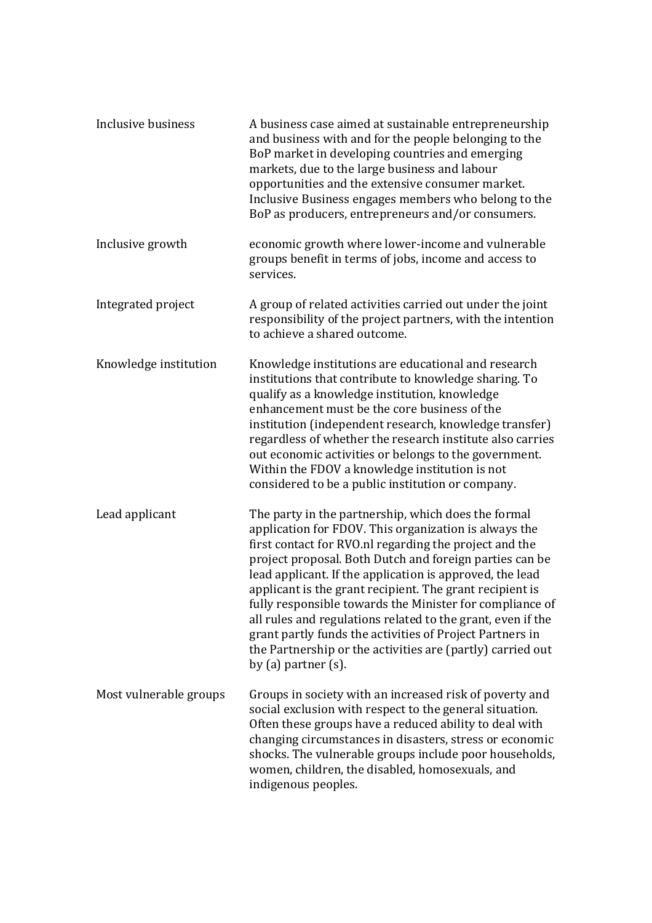| Inclusive business     | A business case aimed at sustainable entrepreneurship<br>and business with and for the people belonging to the<br>BoP market in developing countries and emerging<br>markets, due to the large business and labour<br>opportunities and the extensive consumer market.<br>Inclusive Business engages members who belong to the<br>BoP as producers, entrepreneurs and/or consumers.                                                                                                                                                                                                                                                        |
|------------------------|--------------------------------------------------------------------------------------------------------------------------------------------------------------------------------------------------------------------------------------------------------------------------------------------------------------------------------------------------------------------------------------------------------------------------------------------------------------------------------------------------------------------------------------------------------------------------------------------------------------------------------------------|
| Inclusive growth       | economic growth where lower-income and vulnerable<br>groups benefit in terms of jobs, income and access to<br>services.                                                                                                                                                                                                                                                                                                                                                                                                                                                                                                                    |
| Integrated project     | A group of related activities carried out under the joint<br>responsibility of the project partners, with the intention<br>to achieve a shared outcome.                                                                                                                                                                                                                                                                                                                                                                                                                                                                                    |
| Knowledge institution  | Knowledge institutions are educational and research<br>institutions that contribute to knowledge sharing. To<br>qualify as a knowledge institution, knowledge<br>enhancement must be the core business of the<br>institution (independent research, knowledge transfer)<br>regardless of whether the research institute also carries<br>out economic activities or belongs to the government.<br>Within the FDOV a knowledge institution is not<br>considered to be a public institution or company.                                                                                                                                       |
| Lead applicant         | The party in the partnership, which does the formal<br>application for FDOV. This organization is always the<br>first contact for RVO.nl regarding the project and the<br>project proposal. Both Dutch and foreign parties can be<br>lead applicant. If the application is approved, the lead<br>applicant is the grant recipient. The grant recipient is<br>fully responsible towards the Minister for compliance of<br>all rules and regulations related to the grant, even if the<br>grant partly funds the activities of Project Partners in<br>the Partnership or the activities are (partly) carried out<br>by $(a)$ partner $(s)$ . |
| Most vulnerable groups | Groups in society with an increased risk of poverty and<br>social exclusion with respect to the general situation.<br>Often these groups have a reduced ability to deal with<br>changing circumstances in disasters, stress or economic<br>shocks. The vulnerable groups include poor households,<br>women, children, the disabled, homosexuals, and<br>indigenous peoples.                                                                                                                                                                                                                                                                |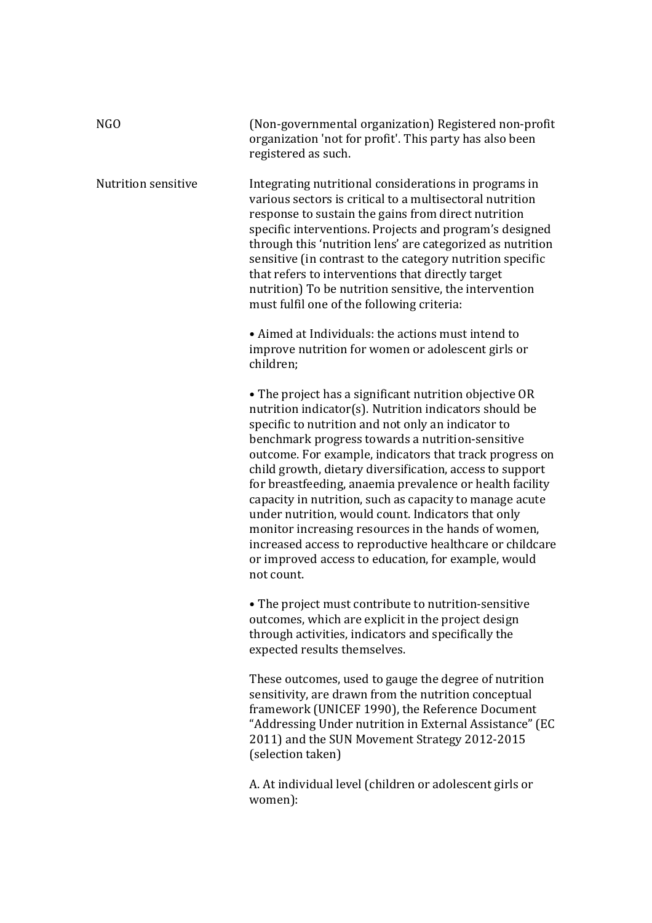| NGO                 | (Non-governmental organization) Registered non-profit<br>organization 'not for profit'. This party has also been<br>registered as such.                                                                                                                                                                                                                                                                                                                                                                                                                                                                                                                                                                                |
|---------------------|------------------------------------------------------------------------------------------------------------------------------------------------------------------------------------------------------------------------------------------------------------------------------------------------------------------------------------------------------------------------------------------------------------------------------------------------------------------------------------------------------------------------------------------------------------------------------------------------------------------------------------------------------------------------------------------------------------------------|
| Nutrition sensitive | Integrating nutritional considerations in programs in<br>various sectors is critical to a multisectoral nutrition<br>response to sustain the gains from direct nutrition<br>specific interventions. Projects and program's designed<br>through this 'nutrition lens' are categorized as nutrition<br>sensitive (in contrast to the category nutrition specific<br>that refers to interventions that directly target<br>nutrition) To be nutrition sensitive, the intervention<br>must fulfil one of the following criteria:                                                                                                                                                                                            |
|                     | • Aimed at Individuals: the actions must intend to<br>improve nutrition for women or adolescent girls or<br>children:                                                                                                                                                                                                                                                                                                                                                                                                                                                                                                                                                                                                  |
|                     | • The project has a significant nutrition objective OR<br>nutrition indicator(s). Nutrition indicators should be<br>specific to nutrition and not only an indicator to<br>benchmark progress towards a nutrition-sensitive<br>outcome. For example, indicators that track progress on<br>child growth, dietary diversification, access to support<br>for breastfeeding, anaemia prevalence or health facility<br>capacity in nutrition, such as capacity to manage acute<br>under nutrition, would count. Indicators that only<br>monitor increasing resources in the hands of women,<br>increased access to reproductive healthcare or childcare<br>or improved access to education, for example, would<br>not count. |
|                     | • The project must contribute to nutrition-sensitive<br>outcomes, which are explicit in the project design<br>through activities, indicators and specifically the<br>expected results themselves.                                                                                                                                                                                                                                                                                                                                                                                                                                                                                                                      |
|                     | These outcomes, used to gauge the degree of nutrition                                                                                                                                                                                                                                                                                                                                                                                                                                                                                                                                                                                                                                                                  |

sensitivity, are drawn from the nutrition conceptual framework (UNICEF 1990), the Reference Document "Addressing Under nutrition in External Assistance" (EC 2011) and the SUN Movement Strategy 2012-2015 (selection taken)

A. At individual level (children or adolescent girls or women):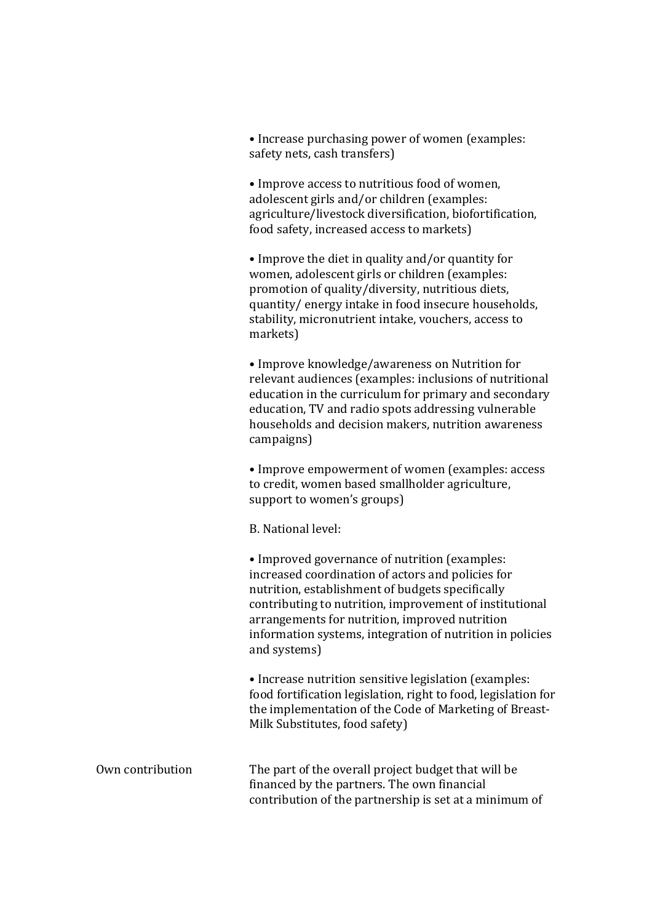• Increase purchasing power of women (examples: safety nets, cash transfers)

• Improve access to nutritious food of women, adolescent girls and/or children (examples: agriculture/livestock diversification, biofortification, food safety, increased access to markets)

• Improve the diet in quality and/or quantity for women, adolescent girls or children (examples: promotion of quality/diversity, nutritious diets, quantity/ energy intake in food insecure households, stability, micronutrient intake, vouchers, access to markets)

• Improve knowledge/awareness on Nutrition for relevant audiences (examples: inclusions of nutritional education in the curriculum for primary and secondary education, TV and radio spots addressing vulnerable households and decision makers, nutrition awareness campaigns)

• Improve empowerment of women (examples: access to credit, women based smallholder agriculture, support to women's groups)

B. National level:

• Improved governance of nutrition (examples: increased coordination of actors and policies for nutrition, establishment of budgets specifically contributing to nutrition, improvement of institutional arrangements for nutrition, improved nutrition information systems, integration of nutrition in policies and systems)

• Increase nutrition sensitive legislation (examples: food fortification legislation, right to food, legislation for the implementation of the Code of Marketing of Breast-Milk Substitutes, food safety)

Own contribution The part of the overall project budget that will be financed by the partners. The own financial contribution of the partnership is set at a minimum of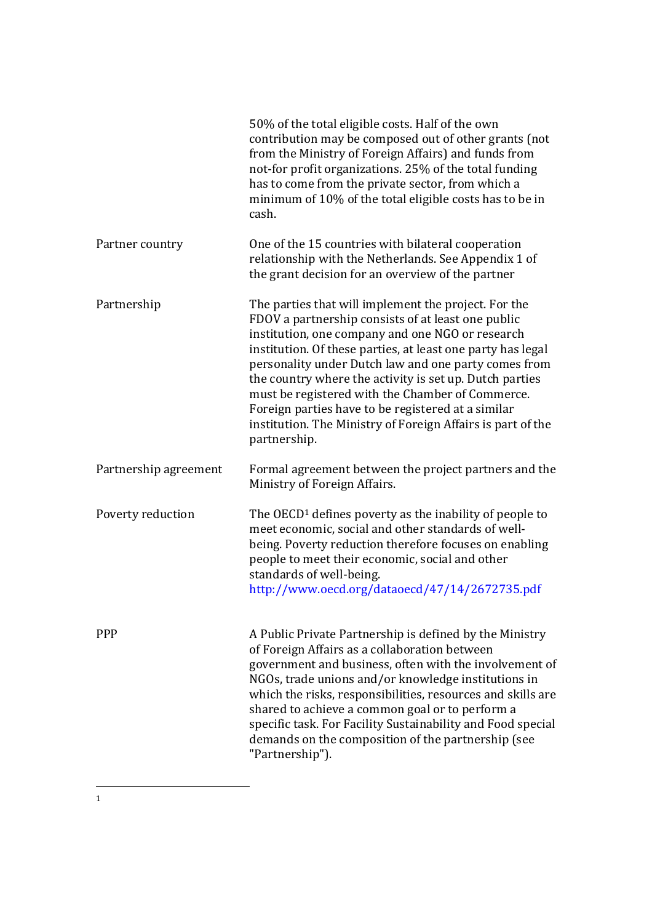|                       | 50% of the total eligible costs. Half of the own<br>contribution may be composed out of other grants (not<br>from the Ministry of Foreign Affairs) and funds from<br>not-for profit organizations. 25% of the total funding<br>has to come from the private sector, from which a<br>minimum of 10% of the total eligible costs has to be in<br>cash.                                                                                                                                                                                      |
|-----------------------|-------------------------------------------------------------------------------------------------------------------------------------------------------------------------------------------------------------------------------------------------------------------------------------------------------------------------------------------------------------------------------------------------------------------------------------------------------------------------------------------------------------------------------------------|
| Partner country       | One of the 15 countries with bilateral cooperation<br>relationship with the Netherlands. See Appendix 1 of<br>the grant decision for an overview of the partner                                                                                                                                                                                                                                                                                                                                                                           |
| Partnership           | The parties that will implement the project. For the<br>FDOV a partnership consists of at least one public<br>institution, one company and one NGO or research<br>institution. Of these parties, at least one party has legal<br>personality under Dutch law and one party comes from<br>the country where the activity is set up. Dutch parties<br>must be registered with the Chamber of Commerce.<br>Foreign parties have to be registered at a similar<br>institution. The Ministry of Foreign Affairs is part of the<br>partnership. |
| Partnership agreement | Formal agreement between the project partners and the<br>Ministry of Foreign Affairs.                                                                                                                                                                                                                                                                                                                                                                                                                                                     |
| Poverty reduction     | The OECD <sup>1</sup> defines poverty as the inability of people to<br>meet economic, social and other standards of well-<br>being. Poverty reduction therefore focuses on enabling<br>people to meet their economic, social and other<br>standards of well-being.<br>http://www.oecd.org/dataoecd/47/14/2672735.pdf                                                                                                                                                                                                                      |
| <b>PPP</b>            | A Public Private Partnership is defined by the Ministry<br>of Foreign Affairs as a collaboration between<br>government and business, often with the involvement of<br>NGOs, trade unions and/or knowledge institutions in<br>which the risks, responsibilities, resources and skills are<br>shared to achieve a common goal or to perform a<br>specific task. For Facility Sustainability and Food special<br>demands on the composition of the partnership (see<br>"Partnership").                                                       |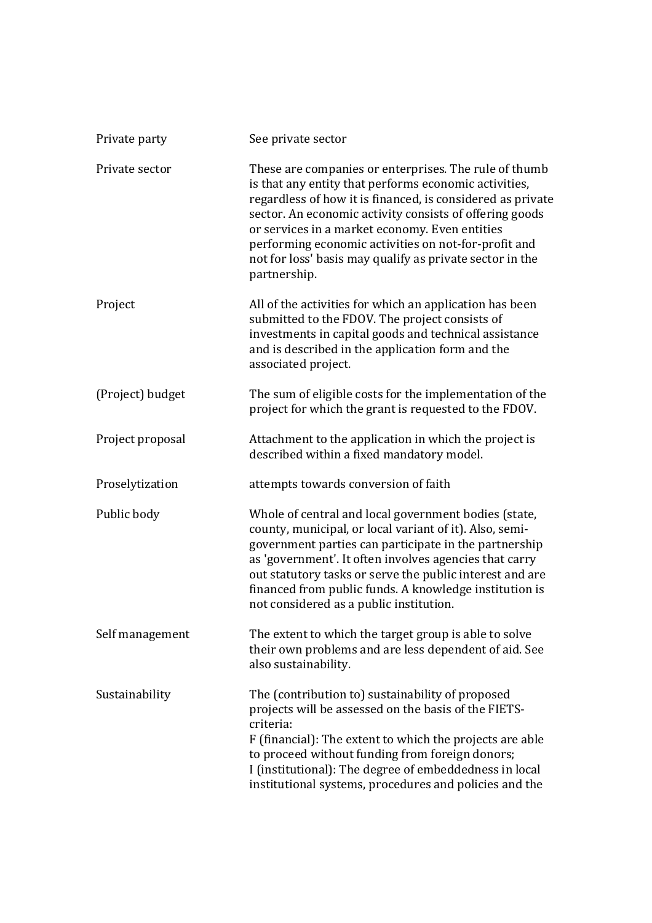| Private party    | See private sector                                                                                                                                                                                                                                                                                                                                                                                                            |
|------------------|-------------------------------------------------------------------------------------------------------------------------------------------------------------------------------------------------------------------------------------------------------------------------------------------------------------------------------------------------------------------------------------------------------------------------------|
| Private sector   | These are companies or enterprises. The rule of thumb<br>is that any entity that performs economic activities,<br>regardless of how it is financed, is considered as private<br>sector. An economic activity consists of offering goods<br>or services in a market economy. Even entities<br>performing economic activities on not-for-profit and<br>not for loss' basis may qualify as private sector in the<br>partnership. |
| Project          | All of the activities for which an application has been<br>submitted to the FDOV. The project consists of<br>investments in capital goods and technical assistance<br>and is described in the application form and the<br>associated project.                                                                                                                                                                                 |
| (Project) budget | The sum of eligible costs for the implementation of the<br>project for which the grant is requested to the FDOV.                                                                                                                                                                                                                                                                                                              |
| Project proposal | Attachment to the application in which the project is<br>described within a fixed mandatory model.                                                                                                                                                                                                                                                                                                                            |
| Proselytization  | attempts towards conversion of faith                                                                                                                                                                                                                                                                                                                                                                                          |
| Public body      | Whole of central and local government bodies (state,<br>county, municipal, or local variant of it). Also, semi-<br>government parties can participate in the partnership<br>as 'government'. It often involves agencies that carry<br>out statutory tasks or serve the public interest and are<br>financed from public funds. A knowledge institution is<br>not considered as a public institution.                           |
| Self management  | The extent to which the target group is able to solve<br>their own problems and are less dependent of aid. See<br>also sustainability.                                                                                                                                                                                                                                                                                        |
| Sustainability   | The (contribution to) sustainability of proposed<br>projects will be assessed on the basis of the FIETS-<br>criteria:<br>F (financial): The extent to which the projects are able<br>to proceed without funding from foreign donors;<br>I (institutional): The degree of embeddedness in local<br>institutional systems, procedures and policies and the                                                                      |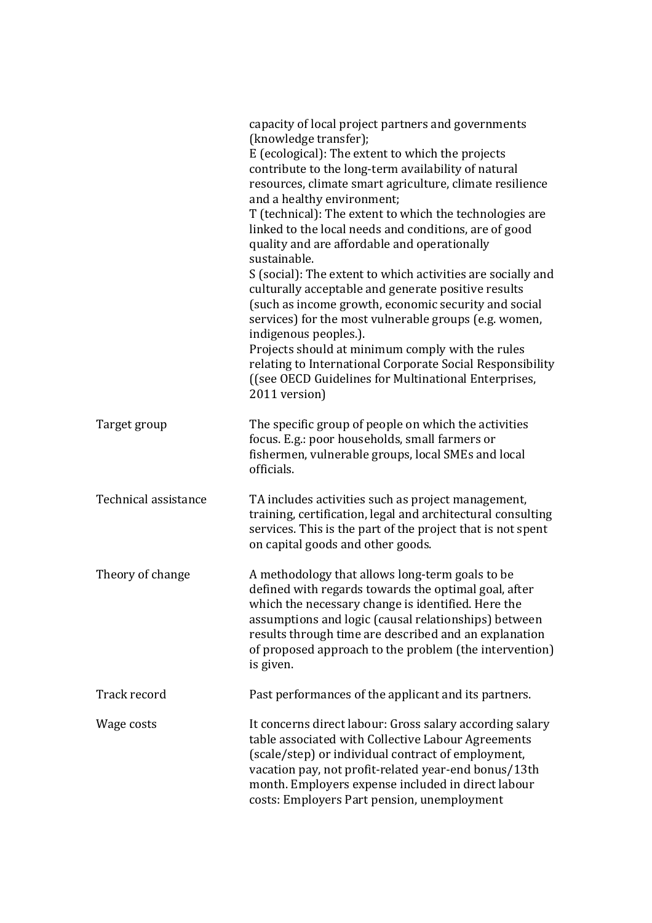|                      | capacity of local project partners and governments<br>(knowledge transfer);<br>E (ecological): The extent to which the projects<br>contribute to the long-term availability of natural<br>resources, climate smart agriculture, climate resilience<br>and a healthy environment;<br>T (technical): The extent to which the technologies are<br>linked to the local needs and conditions, are of good<br>quality and are affordable and operationally<br>sustainable.<br>S (social): The extent to which activities are socially and<br>culturally acceptable and generate positive results<br>(such as income growth, economic security and social<br>services) for the most vulnerable groups (e.g. women,<br>indigenous peoples.).<br>Projects should at minimum comply with the rules<br>relating to International Corporate Social Responsibility |
|----------------------|-------------------------------------------------------------------------------------------------------------------------------------------------------------------------------------------------------------------------------------------------------------------------------------------------------------------------------------------------------------------------------------------------------------------------------------------------------------------------------------------------------------------------------------------------------------------------------------------------------------------------------------------------------------------------------------------------------------------------------------------------------------------------------------------------------------------------------------------------------|
|                      | ((see OECD Guidelines for Multinational Enterprises,<br>2011 version)                                                                                                                                                                                                                                                                                                                                                                                                                                                                                                                                                                                                                                                                                                                                                                                 |
| Target group         | The specific group of people on which the activities<br>focus. E.g.: poor households, small farmers or<br>fishermen, vulnerable groups, local SMEs and local<br>officials.                                                                                                                                                                                                                                                                                                                                                                                                                                                                                                                                                                                                                                                                            |
| Technical assistance | TA includes activities such as project management,<br>training, certification, legal and architectural consulting<br>services. This is the part of the project that is not spent<br>on capital goods and other goods.                                                                                                                                                                                                                                                                                                                                                                                                                                                                                                                                                                                                                                 |
| Theory of change     | A methodology that allows long-term goals to be<br>defined with regards towards the optimal goal, after<br>which the necessary change is identified. Here the<br>assumptions and logic (causal relationships) between<br>results through time are described and an explanation<br>of proposed approach to the problem (the intervention)<br>is given.                                                                                                                                                                                                                                                                                                                                                                                                                                                                                                 |
| Track record         | Past performances of the applicant and its partners.                                                                                                                                                                                                                                                                                                                                                                                                                                                                                                                                                                                                                                                                                                                                                                                                  |
| Wage costs           | It concerns direct labour: Gross salary according salary<br>table associated with Collective Labour Agreements<br>(scale/step) or individual contract of employment,<br>vacation pay, not profit-related year-end bonus/13th<br>month. Employers expense included in direct labour<br>costs: Employers Part pension, unemployment                                                                                                                                                                                                                                                                                                                                                                                                                                                                                                                     |